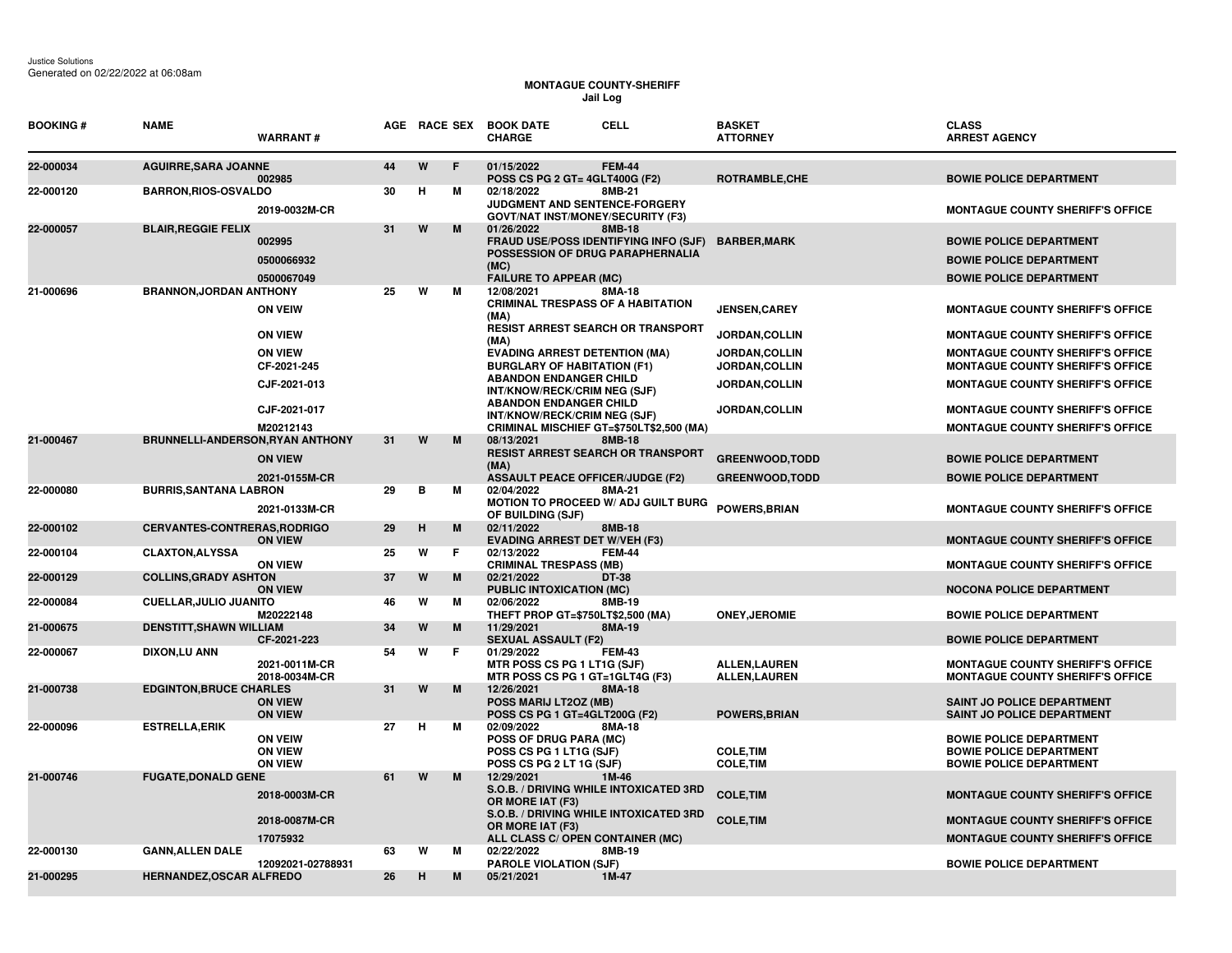## **MONTAGUE COUNTY-SHERIFF Jail Log**

| <b>BOOKING#</b> | <b>NAME</b>                         | <b>WARRANT#</b>                                    |    |   |    | AGE RACE SEX BOOK DATE<br><b>CHARGE</b>                                                                                          | <b>CELL</b>   | <b>BASKET</b><br><b>ATTORNEY</b>           | <b>CLASS</b><br><b>ARREST AGENCY</b>                                                               |
|-----------------|-------------------------------------|----------------------------------------------------|----|---|----|----------------------------------------------------------------------------------------------------------------------------------|---------------|--------------------------------------------|----------------------------------------------------------------------------------------------------|
| 22-000034       | <b>AGUIRRE, SARA JOANNE</b>         | 002985                                             | 44 | W | E  | 01/15/2022<br>POSS CS PG 2 GT= 4GLT400G (F2)                                                                                     | <b>FEM-44</b> | ROTRAMBLE, CHE                             | <b>BOWIE POLICE DEPARTMENT</b>                                                                     |
| 22-000120       | <b>BARRON, RIOS-OSVALDO</b>         | 2019-0032M-CR                                      | 30 | Н | M  | 02/18/2022<br>JUDGMENT AND SENTENCE-FORGERY<br><b>GOVT/NAT INST/MONEY/SECURITY (F3)</b>                                          | 8MB-21        |                                            | <b>MONTAGUE COUNTY SHERIFF'S OFFICE</b>                                                            |
| 22-000057       | <b>BLAIR, REGGIE FELIX</b>          | 002995<br>0500066932<br>0500067049                 | 31 | W | M  | 01/26/2022<br>FRAUD USE/POSS IDENTIFYING INFO (SJF)<br>POSSESSION OF DRUG PARAPHERNALIA<br>(MC)<br><b>FAILURE TO APPEAR (MC)</b> | 8MB-18        | <b>BARBER, MARK</b>                        | <b>BOWIE POLICE DEPARTMENT</b><br><b>BOWIE POLICE DEPARTMENT</b><br><b>BOWIE POLICE DEPARTMENT</b> |
| 21-000696       | <b>BRANNON, JORDAN ANTHONY</b>      | <b>ON VEIW</b>                                     | 25 | W | М  | 12/08/2021<br><b>CRIMINAL TRESPASS OF A HABITATION</b><br>(MA)<br>RESIST ARREST SEARCH OR TRANSPORT                              | 8MA-18        | <b>JENSEN, CAREY</b>                       | <b>MONTAGUE COUNTY SHERIFF'S OFFICE</b>                                                            |
|                 |                                     | <b>ON VIEW</b>                                     |    |   |    | (MA)                                                                                                                             |               | JORDAN, COLLIN                             | <b>MONTAGUE COUNTY SHERIFF'S OFFICE</b>                                                            |
|                 |                                     | <b>ON VIEW</b><br>CF-2021-245                      |    |   |    | <b>EVADING ARREST DETENTION (MA)</b><br><b>BURGLARY OF HABITATION (F1)</b><br><b>ABANDON ENDANGER CHILD</b>                      |               | JORDAN, COLLIN<br>JORDAN, COLLIN           | <b>MONTAGUE COUNTY SHERIFF'S OFFICE</b><br><b>MONTAGUE COUNTY SHERIFF'S OFFICE</b>                 |
|                 |                                     | CJF-2021-013                                       |    |   |    | INT/KNOW/RECK/CRIM NEG (SJF)                                                                                                     |               | JORDAN, COLLIN                             | <b>MONTAGUE COUNTY SHERIFF'S OFFICE</b>                                                            |
|                 |                                     | CJF-2021-017<br>M20212143                          |    |   |    | <b>ABANDON ENDANGER CHILD</b><br>INT/KNOW/RECK/CRIM NEG (SJF)<br>CRIMINAL MISCHIEF GT=\$750LT\$2,500 (MA)                        |               | <b>JORDAN,COLLIN</b>                       | <b>MONTAGUE COUNTY SHERIFF'S OFFICE</b><br><b>MONTAGUE COUNTY SHERIFF'S OFFICE</b>                 |
| 21-000467       | BRUNNELLI-ANDERSON, RYAN ANTHONY    |                                                    | 31 | W | M  | 08/13/2021                                                                                                                       | 8MB-18        |                                            |                                                                                                    |
|                 |                                     | <b>ON VIEW</b>                                     |    |   |    | <b>RESIST ARREST SEARCH OR TRANSPORT</b><br>(MA)                                                                                 |               | <b>GREENWOOD, TODD</b>                     | <b>BOWIE POLICE DEPARTMENT</b>                                                                     |
| 22-000080       | <b>BURRIS, SANTANA LABRON</b>       | 2021-0155M-CR                                      | 29 | в | м  | <b>ASSAULT PEACE OFFICER/JUDGE (F2)</b><br>02/04/2022                                                                            | 8MA-21        | <b>GREENWOOD, TODD</b>                     | <b>BOWIE POLICE DEPARTMENT</b>                                                                     |
|                 |                                     | 2021-0133M-CR                                      |    |   |    | MOTION TO PROCEED W/ ADJ GUILT BURG<br>OF BUILDING (SJF)                                                                         |               | <b>POWERS, BRIAN</b>                       | <b>MONTAGUE COUNTY SHERIFF'S OFFICE</b>                                                            |
| 22-000102       | <b>CERVANTES-CONTRERAS, RODRIGO</b> | <b>ON VIEW</b>                                     | 29 | H | M  | 02/11/2022<br><b>EVADING ARREST DET W/VEH (F3)</b>                                                                               | 8MB-18        |                                            | <b>MONTAGUE COUNTY SHERIFF'S OFFICE</b>                                                            |
| 22-000104       | <b>CLAXTON, ALYSSA</b>              | <b>ON VIEW</b>                                     | 25 | W | F. | 02/13/2022<br><b>CRIMINAL TRESPASS (MB)</b>                                                                                      | <b>FEM-44</b> |                                            | <b>MONTAGUE COUNTY SHERIFF'S OFFICE</b>                                                            |
| 22-000129       | <b>COLLINS, GRADY ASHTON</b>        | <b>ON VIEW</b>                                     | 37 | W | M  | 02/21/2022<br><b>PUBLIC INTOXICATION (MC)</b>                                                                                    | DT-38         |                                            | <b>NOCONA POLICE DEPARTMENT</b>                                                                    |
| 22-000084       | <b>CUELLAR, JULIO JUANITO</b>       | M20222148                                          | 46 | W | м  | 02/06/2022                                                                                                                       | 8MB-19        |                                            |                                                                                                    |
| 21-000675       | <b>DENSTITT, SHAWN WILLIAM</b>      |                                                    | 34 | W | M  | THEFT PROP GT=\$750LT\$2,500 (MA)<br>11/29/2021                                                                                  | 8MA-19        | <b>ONEY, JEROMIE</b>                       | <b>BOWIE POLICE DEPARTMENT</b>                                                                     |
| 22-000067       | <b>DIXON,LU ANN</b>                 | CF-2021-223                                        | 54 | W | F. | <b>SEXUAL ASSAULT (F2)</b><br>01/29/2022                                                                                         | <b>FEM-43</b> |                                            | <b>BOWIE POLICE DEPARTMENT</b>                                                                     |
|                 |                                     | 2021-0011M-CR<br>2018-0034M-CR                     |    |   |    | MTR POSS CS PG 1 LT1G (SJF)<br>MTR POSS CS PG 1 GT=1GLT4G (F3)                                                                   |               | <b>ALLEN.LAUREN</b><br><b>ALLEN,LAUREN</b> | <b>MONTAGUE COUNTY SHERIFF'S OFFICE</b><br><b>MONTAGUE COUNTY SHERIFF'S OFFICE</b>                 |
| 21-000738       | <b>EDGINTON, BRUCE CHARLES</b>      | <b>ON VIEW</b><br><b>ON VIEW</b>                   | 31 | W | M  | 12/26/2021<br>POSS MARIJ LT2OZ (MB)<br>POSS CS PG 1 GT=4GLT200G (F2)                                                             | 8MA-18        | <b>POWERS, BRIAN</b>                       | SAINT JO POLICE DEPARTMENT<br><b>SAINT JO POLICE DEPARTMENT</b>                                    |
| 22-000096       | <b>ESTRELLA, ERIK</b>               | <b>ON VEIW</b><br><b>ON VIEW</b><br><b>ON VIEW</b> | 27 | H | м  | 02/09/2022<br><b>POSS OF DRUG PARA (MC)</b><br>POSS CS PG 1 LT1G (SJF)<br>POSS CS PG 2 LT 1G (SJF)                               | 8MA-18        | <b>COLE, TIM</b><br><b>COLE, TIM</b>       | <b>BOWIE POLICE DEPARTMENT</b><br><b>BOWIE POLICE DEPARTMENT</b><br><b>BOWIE POLICE DEPARTMENT</b> |
| 21-000746       | <b>FUGATE, DONALD GENE</b>          | 2018-0003M-CR                                      | 61 | W | M  | 12/29/2021<br>S.O.B. / DRIVING WHILE INTOXICATED 3RD<br>OR MORE IAT (F3)                                                         | 1M-46         | <b>COLE, TIM</b>                           | <b>MONTAGUE COUNTY SHERIFF'S OFFICE</b>                                                            |
|                 |                                     | 2018-0087M-CR                                      |    |   |    | S.O.B. / DRIVING WHILE INTOXICATED 3RD<br>OR MORE IAT (F3)                                                                       |               | <b>COLE, TIM</b>                           | <b>MONTAGUE COUNTY SHERIFF'S OFFICE</b>                                                            |
|                 |                                     | 17075932                                           |    |   |    | ALL CLASS C/ OPEN CONTAINER (MC)                                                                                                 |               |                                            | <b>MONTAGUE COUNTY SHERIFF'S OFFICE</b>                                                            |
| 22-000130       | <b>GANN, ALLEN DALE</b>             | 12092021-02788931                                  | 63 | W | м  | 02/22/2022<br><b>PAROLE VIOLATION (SJF)</b>                                                                                      | 8MB-19        |                                            | <b>BOWIE POLICE DEPARTMENT</b>                                                                     |
| 21-000295       | HERNANDEZ, OSCAR ALFREDO            |                                                    | 26 | H | M  | 05/21/2021                                                                                                                       | 1M-47         |                                            |                                                                                                    |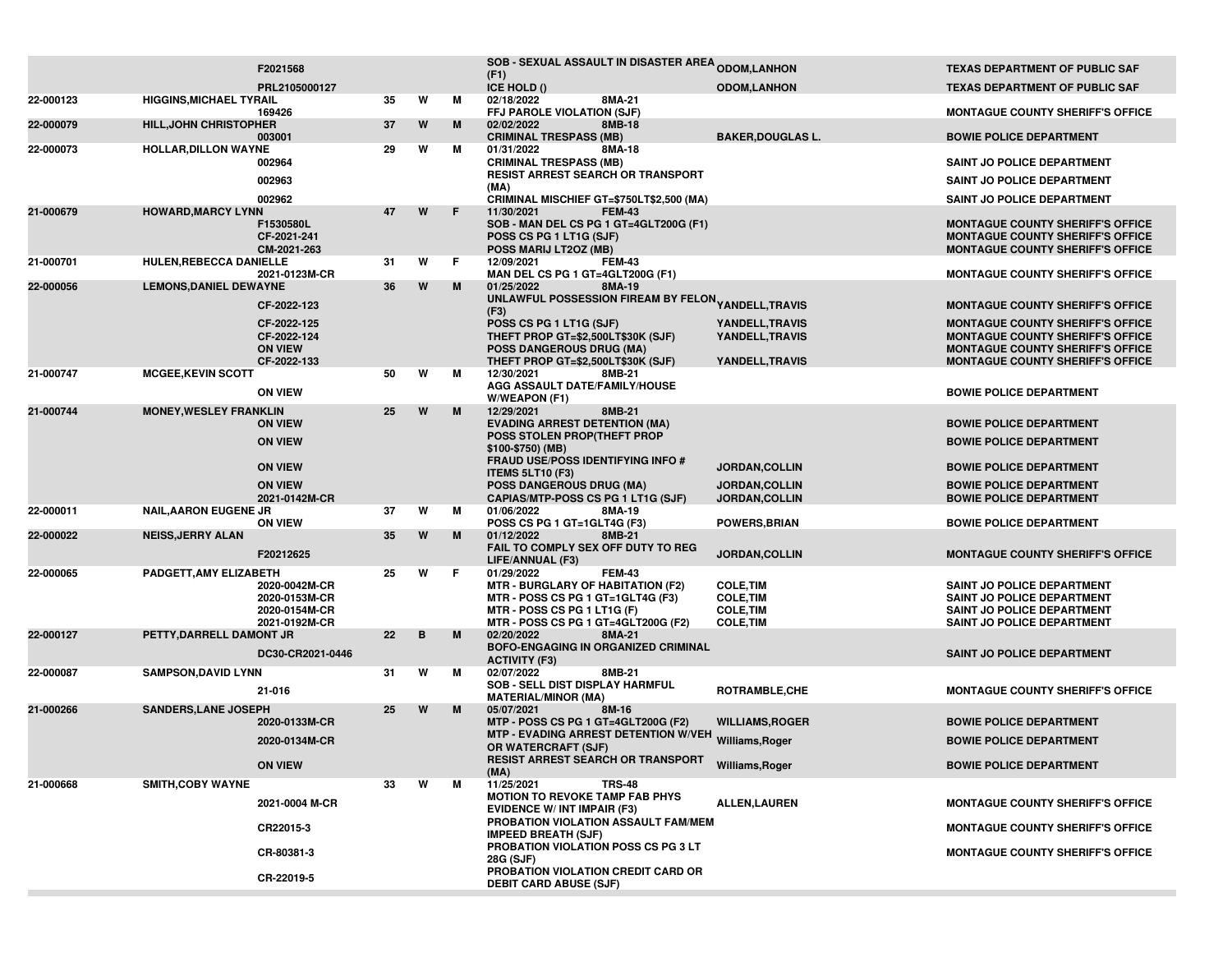|           |                                | F2021568                                                    |         |   |    | SOB - SEXUAL ASSAULT IN DISASTER AREA ODOM, LANHON                                                                                     |                                                              | <b>TEXAS DEPARTMENT OF PUBLIC SAF</b>                                                                                                                                    |
|-----------|--------------------------------|-------------------------------------------------------------|---------|---|----|----------------------------------------------------------------------------------------------------------------------------------------|--------------------------------------------------------------|--------------------------------------------------------------------------------------------------------------------------------------------------------------------------|
|           |                                | PRL2105000127                                               |         |   |    | (F1)<br>ICE HOLD ()                                                                                                                    | <b>ODOM,LANHON</b>                                           | <b>TEXAS DEPARTMENT OF PUBLIC SAF</b>                                                                                                                                    |
| 22-000123 | <b>HIGGINS, MICHAEL TYRAIL</b> |                                                             | 35      | W | м  | 8MA-21<br>02/18/2022                                                                                                                   |                                                              |                                                                                                                                                                          |
| 22-000079 | <b>HILL, JOHN CHRISTOPHER</b>  | 169426                                                      | 37      | W | M  | FFJ PAROLE VIOLATION (SJF)<br>02/02/2022<br>8MB-18                                                                                     |                                                              | <b>MONTAGUE COUNTY SHERIFF'S OFFICE</b>                                                                                                                                  |
| 22-000073 | <b>HOLLAR, DILLON WAYNE</b>    | 003001                                                      | 29      | W | м  | <b>CRIMINAL TRESPASS (MB)</b><br>8MA-18<br>01/31/2022                                                                                  | <b>BAKER, DOUGLAS L.</b>                                     | <b>BOWIE POLICE DEPARTMENT</b>                                                                                                                                           |
|           |                                | 002964                                                      |         |   |    | <b>CRIMINAL TRESPASS (MB)</b>                                                                                                          |                                                              | SAINT JO POLICE DEPARTMENT                                                                                                                                               |
|           |                                | 002963                                                      |         |   |    | RESIST ARREST SEARCH OR TRANSPORT<br>(MA)                                                                                              |                                                              | SAINT JO POLICE DEPARTMENT                                                                                                                                               |
|           |                                | 002962                                                      |         |   |    | CRIMINAL MISCHIEF GT=\$750LT\$2,500 (MA)                                                                                               |                                                              | SAINT JO POLICE DEPARTMENT                                                                                                                                               |
| 21-000679 | <b>HOWARD, MARCY LYNN</b>      | F1530580L<br>CF-2021-241<br>CM-2021-263                     | 47      | W | F  | 11/30/2021<br><b>FEM-43</b><br>SOB - MAN DEL CS PG 1 GT=4GLT200G (F1)<br>POSS CS PG 1 LT1G (SJF)<br>POSS MARIJ LT2OZ (MB)              |                                                              | <b>MONTAGUE COUNTY SHERIFF'S OFFICE</b><br><b>MONTAGUE COUNTY SHERIFF'S OFFICE</b><br><b>MONTAGUE COUNTY SHERIFF'S OFFICE</b>                                            |
| 21-000701 | HULEN, REBECCA DANIELLE        | 2021-0123M-CR                                               | 31      | W | F. | <b>FEM-43</b><br>12/09/2021<br>MAN DEL CS PG 1 GT=4GLT200G (F1)                                                                        |                                                              | <b>MONTAGUE COUNTY SHERIFF'S OFFICE</b>                                                                                                                                  |
| 22-000056 | <b>LEMONS, DANIEL DEWAYNE</b>  |                                                             | 36      | W | M  | 01/25/2022<br>8MA-19                                                                                                                   |                                                              |                                                                                                                                                                          |
|           |                                | CF-2022-123                                                 |         |   |    | UNLAWFUL POSSESSION FIREAM BY FELON <sub>YANDELL,</sub> TRAVIS<br>(F3)                                                                 |                                                              | <b>MONTAGUE COUNTY SHERIFF'S OFFICE</b>                                                                                                                                  |
|           |                                | CF-2022-125<br>CF-2022-124<br><b>ON VIEW</b><br>CF-2022-133 |         |   |    | POSS CS PG 1 LT1G (SJF)<br>THEFT PROP GT=\$2,500LT\$30K (SJF)<br><b>POSS DANGEROUS DRUG (MA)</b><br>THEFT PROP GT=\$2,500LT\$30K (SJF) | YANDELL, TRAVIS<br>YANDELL, TRAVIS<br><b>YANDELL, TRAVIS</b> | <b>MONTAGUE COUNTY SHERIFF'S OFFICE</b><br><b>MONTAGUE COUNTY SHERIFF'S OFFICE</b><br><b>MONTAGUE COUNTY SHERIFF'S OFFICE</b><br><b>MONTAGUE COUNTY SHERIFF'S OFFICE</b> |
| 21-000747 | <b>MCGEE, KEVIN SCOTT</b>      |                                                             | 50      | W | м  | 12/30/2021<br>8MB-21                                                                                                                   |                                                              |                                                                                                                                                                          |
|           |                                | <b>ON VIEW</b>                                              |         |   |    | AGG ASSAULT DATE/FAMILY/HOUSE<br>W/WEAPON (F1)                                                                                         |                                                              | <b>BOWIE POLICE DEPARTMENT</b>                                                                                                                                           |
| 21-000744 | <b>MONEY, WESLEY FRANKLIN</b>  | <b>ON VIEW</b>                                              | 25      | W | M  | 12/29/2021<br>8MB-21<br><b>EVADING ARREST DETENTION (MA)</b>                                                                           |                                                              | <b>BOWIE POLICE DEPARTMENT</b>                                                                                                                                           |
|           |                                | <b>ON VIEW</b>                                              |         |   |    | POSS STOLEN PROP(THEFT PROP<br>\$100-\$750) (MB)                                                                                       |                                                              | <b>BOWIE POLICE DEPARTMENT</b>                                                                                                                                           |
|           |                                | <b>ON VIEW</b>                                              |         |   |    | <b>FRAUD USE/POSS IDENTIFYING INFO #</b><br><b>ITEMS 5LT10 (F3)</b>                                                                    | JORDAN, COLLIN                                               | <b>BOWIE POLICE DEPARTMENT</b>                                                                                                                                           |
|           |                                | <b>ON VIEW</b>                                              |         |   |    | <b>POSS DANGEROUS DRUG (MA)</b>                                                                                                        | <b>JORDAN, COLLIN</b>                                        | <b>BOWIE POLICE DEPARTMENT</b>                                                                                                                                           |
| 22-000011 | <b>NAIL, AARON EUGENE JR</b>   | 2021-0142M-CR                                               | 37      | W | м  | CAPIAS/MTP-POSS CS PG 1 LT1G (SJF)<br>01/06/2022<br>8MA-19                                                                             | JORDAN, COLLIN                                               | <b>BOWIE POLICE DEPARTMENT</b>                                                                                                                                           |
|           |                                | <b>ON VIEW</b>                                              |         |   |    | POSS CS PG 1 GT=1GLT4G (F3)                                                                                                            | <b>POWERS, BRIAN</b>                                         | <b>BOWIE POLICE DEPARTMENT</b>                                                                                                                                           |
| 22-000022 | <b>NEISS, JERRY ALAN</b>       | F20212625                                                   | 35      | W | M  | 01/12/2022<br>8MB-21<br>FAIL TO COMPLY SEX OFF DUTY TO REG                                                                             | JORDAN, COLLIN                                               | <b>MONTAGUE COUNTY SHERIFF'S OFFICE</b>                                                                                                                                  |
| 22-000065 | PADGETT, AMY ELIZABETH         |                                                             | 25      | w | F  | LIFE/ANNUAL (F3)<br>01/29/2022<br><b>FEM-43</b>                                                                                        |                                                              |                                                                                                                                                                          |
|           |                                | 2020-0042M-CR<br>2020-0153M-CR<br>2020-0154M-CR             |         |   |    | MTR - BURGLARY OF HABITATION (F2)<br><b>MTR - POSS CS PG 1 GT=1GLT4G (F3)</b><br>MTR - POSS CS PG 1 LT1G (F)                           | <b>COLE, TIM</b><br><b>COLE, TIM</b><br><b>COLE, TIM</b>     | SAINT JO POLICE DEPARTMENT<br>SAINT JO POLICE DEPARTMENT<br>SAINT JO POLICE DEPARTMENT                                                                                   |
| 22-000127 | PETTY, DARRELL DAMONT JR       | 2021-0192M-CR                                               | 22      | B | M  | MTR - POSS CS PG 1 GT=4GLT200G (F2)<br>02/20/2022<br>8MA-21                                                                            | <b>COLE, TIM</b>                                             | SAINT JO POLICE DEPARTMENT                                                                                                                                               |
|           |                                | DC30-CR2021-0446                                            |         |   |    | BOFO-ENGAGING IN ORGANIZED CRIMINAL<br><b>ACTIVITY (F3)</b>                                                                            |                                                              | SAINT JO POLICE DEPARTMENT                                                                                                                                               |
| 22-000087 | <b>SAMPSON, DAVID LYNN</b>     |                                                             | 31      | W | М  | 02/07/2022<br>8MB-21                                                                                                                   |                                                              |                                                                                                                                                                          |
|           |                                | 21-016                                                      |         |   |    | SOB - SELL DIST DISPLAY HARMFUL<br><b>MATERIAL/MINOR (MA)</b>                                                                          | ROTRAMBLE.CHE                                                | <b>MONTAGUE COUNTY SHERIFF'S OFFICE</b>                                                                                                                                  |
| 21-000266 | <b>SANDERS, LANE JOSEPH</b>    | 2020-0133M-CR                                               | 25      | W | M  | 8M-16<br>05/07/2021<br>MTP - POSS CS PG 1 GT=4GLT200G (F2)                                                                             | <b>WILLIAMS, ROGER</b>                                       | <b>BOWIE POLICE DEPARTMENT</b>                                                                                                                                           |
|           |                                | 2020-0134M-CR                                               |         |   |    | MTP - EVADING ARREST DETENTION W/VEH Williams, Roger                                                                                   |                                                              | <b>BOWIE POLICE DEPARTMENT</b>                                                                                                                                           |
|           |                                |                                                             |         |   |    | OR WATERCRAFT (SJF)<br><b>RESIST ARREST SEARCH OR TRANSPORT</b>                                                                        |                                                              |                                                                                                                                                                          |
|           |                                | <b>ON VIEW</b>                                              |         |   |    | (MA)                                                                                                                                   | Williams, Roger                                              | <b>BOWIE POLICE DEPARTMENT</b>                                                                                                                                           |
| 21-000668 | <b>SMITH, COBY WAYNE</b>       | 2021-0004 M-CR                                              | W<br>33 |   | м  | 11/25/2021<br><b>TRS-48</b><br><b>MOTION TO REVOKE TAMP FAB PHYS</b><br><b>EVIDENCE W/ INT IMPAIR (F3)</b>                             | <b>ALLEN, LAUREN</b>                                         | <b>MONTAGUE COUNTY SHERIFF'S OFFICE</b>                                                                                                                                  |
|           |                                | CR22015-3                                                   |         |   |    | PROBATION VIOLATION ASSAULT FAM/MEM<br><b>IMPEED BREATH (SJF)</b>                                                                      |                                                              | <b>MONTAGUE COUNTY SHERIFF'S OFFICE</b>                                                                                                                                  |
|           |                                | CR-80381-3                                                  |         |   |    | PROBATION VIOLATION POSS CS PG 3 LT<br>28G (SJF)                                                                                       |                                                              | <b>MONTAGUE COUNTY SHERIFF'S OFFICE</b>                                                                                                                                  |
|           |                                | CR-22019-5                                                  |         |   |    | PROBATION VIOLATION CREDIT CARD OR<br><b>DEBIT CARD ABUSE (SJF)</b>                                                                    |                                                              |                                                                                                                                                                          |